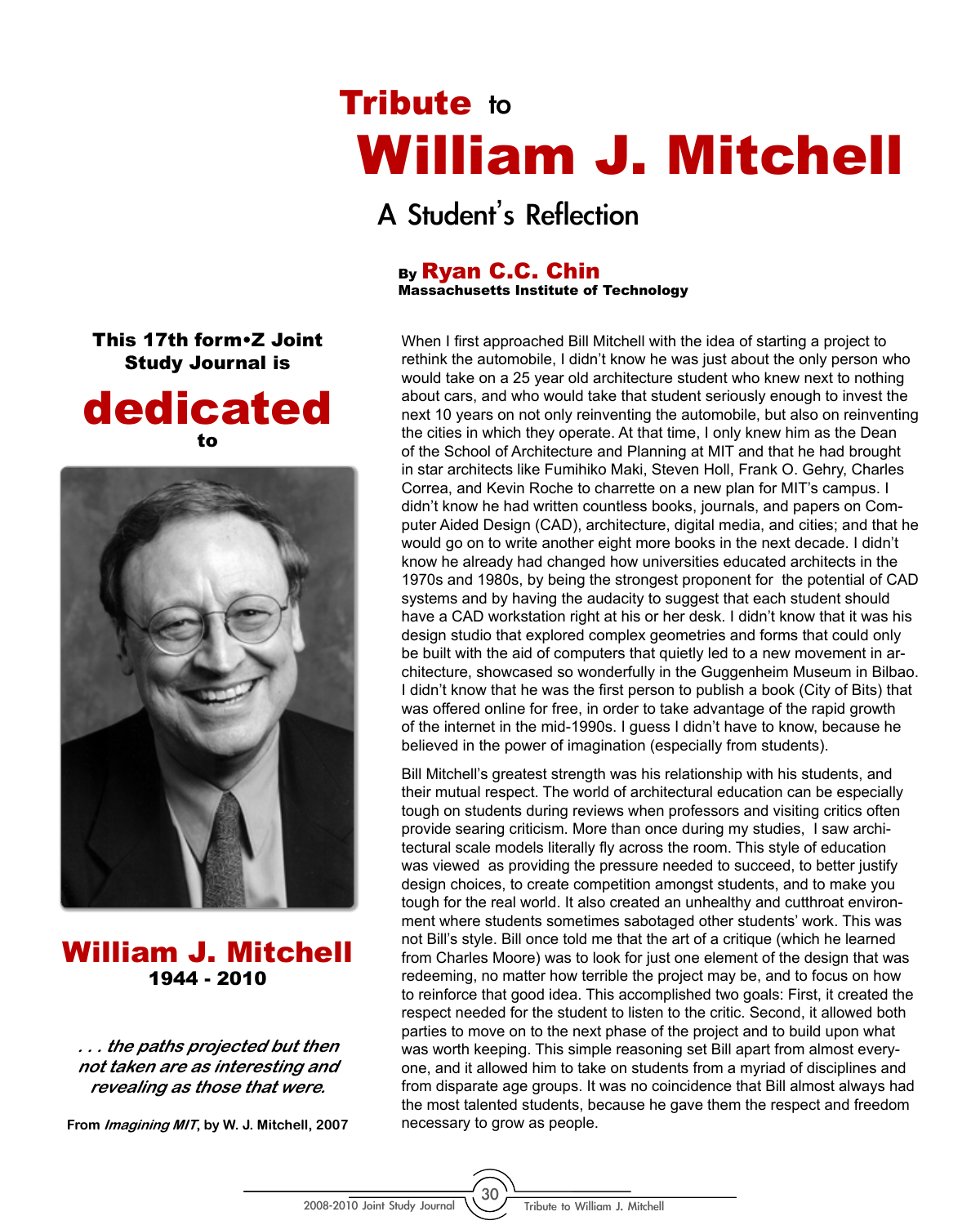## Tribute to William J. Mitchell

A Student's Reflection

## By Ryan C.C. Chin

Massachusetts Institute of Technology

When I first approached Bill Mitchell with the idea of starting a project to rethink the automobile, I didn't know he was just about the only person who would take on a 25 year old architecture student who knew next to nothing about cars, and who would take that student seriously enough to invest the next 10 years on not only reinventing the automobile, but also on reinventing the cities in which they operate. At that time, I only knew him as the Dean of the School of Architecture and Planning at MIT and that he had brought in star architects like Fumihiko Maki, Steven Holl, Frank O. Gehry, Charles Correa, and Kevin Roche to charrette on a new plan for MIT's campus. I didn't know he had written countless books, journals, and papers on Computer Aided Design (CAD), architecture, digital media, and cities; and that he would go on to write another eight more books in the next decade. I didn't know he already had changed how universities educated architects in the 1970s and 1980s, by being the strongest proponent for the potential of CAD systems and by having the audacity to suggest that each student should have a CAD workstation right at his or her desk. I didn't know that it was his design studio that explored complex geometries and forms that could only be built with the aid of computers that quietly led to a new movement in architecture, showcased so wonderfully in the Guggenheim Museum in Bilbao. I didn't know that he was the first person to publish a book (City of Bits) that was offered online for free, in order to take advantage of the rapid growth of the internet in the mid-1990s. I guess I didn't have to know, because he believed in the power of imagination (especially from students).

Bill Mitchell's greatest strength was his relationship with his students, and their mutual respect. The world of architectural education can be especially tough on students during reviews when professors and visiting critics often provide searing criticism. More than once during my studies, I saw architectural scale models literally fly across the room. This style of education was viewed as providing the pressure needed to succeed, to better justify design choices, to create competition amongst students, and to make you tough for the real world. It also created an unhealthy and cutthroat environment where students sometimes sabotaged other students' work. This was not Bill's style. Bill once told me that the art of a critique (which he learned from Charles Moore) was to look for just one element of the design that was redeeming, no matter how terrible the project may be, and to focus on how to reinforce that good idea. This accomplished two goals: First, it created the respect needed for the student to listen to the critic. Second, it allowed both parties to move on to the next phase of the project and to build upon what was worth keeping. This simple reasoning set Bill apart from almost everyone, and it allowed him to take on students from a myriad of disciplines and from disparate age groups. It was no coincidence that Bill almost always had the most talented students, because he gave them the respect and freedom necessary to grow as people.

This 17th form•Z Joint Study Journal is





William J. Mitchell 1944 - 2010

**. . . the paths projected but then not taken are as interesting and revealing as those that were.**

**From Imagining MIT, by W. J. Mitchell, 2007**